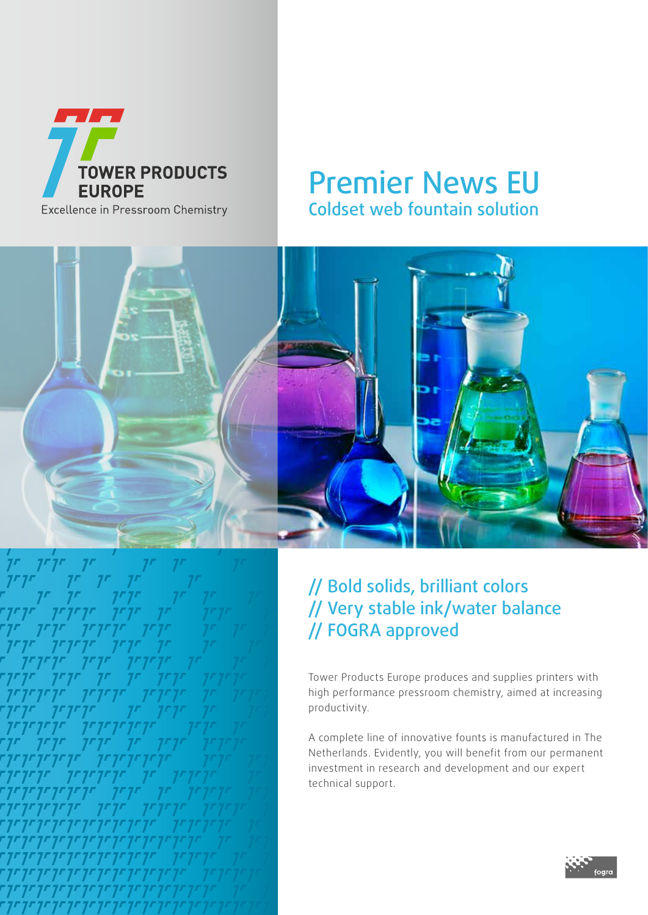

## Premier News EU Coldset web fountain solution





### // Bold solids, brilliant colors // Very stable ink/water balance // FOGRA approved

Tower Products Europe produces and supplies printers with high performance pressroom chemistry, aimed at increasing productivity.

A complete line of innovative founts is manufactured in The Netherlands. Evidently, you will benefit from our permanent investment in research and development and our expert technical support.